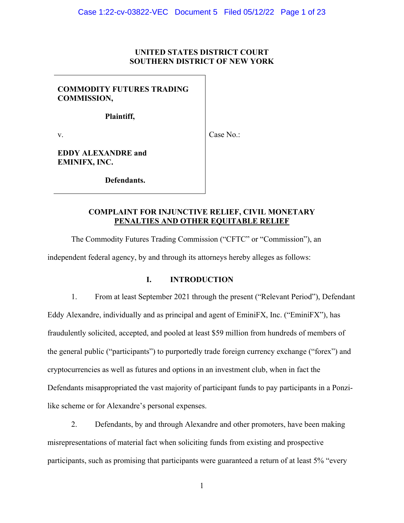## **UNITED STATES DISTRICT COURT SOUTHERN DISTRICT OF NEW YORK**

# **COMMODITY FUTURES TRADING COMMISSION,**

**Plaintiff,** 

v.

Case No.:

**EDDY ALEXANDRE and EMINIFX, INC.** 

**Defendants.** 

# **COMPLAINT FOR INJUNCTIVE RELIEF, CIVIL MONETARY PENALTIES AND OTHER EQUITABLE RELIEF**

The Commodity Futures Trading Commission ("CFTC" or "Commission"), an independent federal agency, by and through its attorneys hereby alleges as follows:

# **I. INTRODUCTION**

1. From at least September 2021 through the present ("Relevant Period"), Defendant Eddy Alexandre, individually and as principal and agent of EminiFX, Inc. ("EminiFX"), has fraudulently solicited, accepted, and pooled at least \$59 million from hundreds of members of the general public ("participants") to purportedly trade foreign currency exchange ("forex") and cryptocurrencies as well as futures and options in an investment club, when in fact the Defendants misappropriated the vast majority of participant funds to pay participants in a Ponzilike scheme or for Alexandre's personal expenses.

2. Defendants, by and through Alexandre and other promoters, have been making misrepresentations of material fact when soliciting funds from existing and prospective participants, such as promising that participants were guaranteed a return of at least 5% "every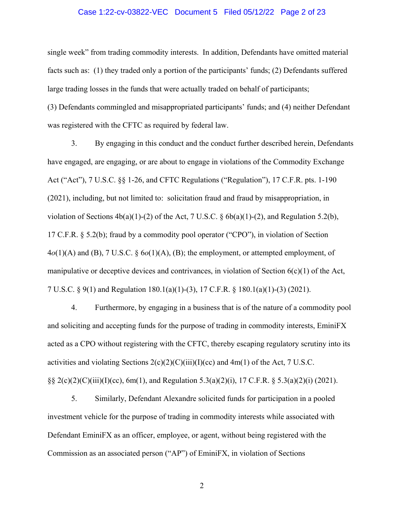#### Case 1:22-cv-03822-VEC Document 5 Filed 05/12/22 Page 2 of 23

single week" from trading commodity interests. In addition, Defendants have omitted material facts such as: (1) they traded only a portion of the participants' funds; (2) Defendants suffered large trading losses in the funds that were actually traded on behalf of participants; (3) Defendants commingled and misappropriated participants' funds; and (4) neither Defendant was registered with the CFTC as required by federal law.

3. By engaging in this conduct and the conduct further described herein, Defendants have engaged, are engaging, or are about to engage in violations of the Commodity Exchange Act ("Act"), 7 U.S.C. §§ 1-26, and CFTC Regulations ("Regulation"), 17 C.F.R. pts. 1-190 (2021), including, but not limited to: solicitation fraud and fraud by misappropriation, in violation of Sections  $4b(a)(1)-(2)$  of the Act, 7 U.S.C. §  $6b(a)(1)-(2)$ , and Regulation 5.2(b), 17 C.F.R. § 5.2(b); fraud by a commodity pool operator ("CPO"), in violation of Section 4*o*(1)(A) and (B), 7 U.S.C. § 6*o*(1)(A), (B); the employment, or attempted employment, of manipulative or deceptive devices and contrivances, in violation of Section  $6(c)(1)$  of the Act, 7 U.S.C. § 9(1) and Regulation 180.1(a)(1)-(3), 17 C.F.R. § 180.1(a)(1)-(3) (2021).

4. Furthermore, by engaging in a business that is of the nature of a commodity pool and soliciting and accepting funds for the purpose of trading in commodity interests, EminiFX acted as a CPO without registering with the CFTC, thereby escaping regulatory scrutiny into its activities and violating Sections  $2(c)(2)(C)(iii)(I)(cc)$  and  $4m(1)$  of the Act, 7 U.S.C. §§ 2(c)(2)(C)(iii)(I)(cc), 6m(1), and Regulation 5.3(a)(2)(i), 17 C.F.R. § 5.3(a)(2)(i) (2021).

5. Similarly, Defendant Alexandre solicited funds for participation in a pooled investment vehicle for the purpose of trading in commodity interests while associated with Defendant EminiFX as an officer, employee, or agent, without being registered with the Commission as an associated person ("AP") of EminiFX, in violation of Sections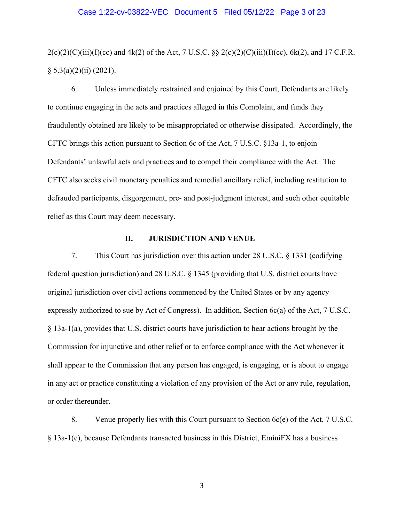#### Case 1:22-cv-03822-VEC Document 5 Filed 05/12/22 Page 3 of 23

 $2(c)(2)(C)(iii)(I)(cc)$  and  $4k(2)$  of the Act, 7 U.S.C. §§  $2(c)(2)(C)(iii)(I)(cc)$ , 6k(2), and 17 C.F.R.  $§ 5.3(a)(2)(ii) (2021).$ 

6. Unless immediately restrained and enjoined by this Court, Defendants are likely to continue engaging in the acts and practices alleged in this Complaint, and funds they fraudulently obtained are likely to be misappropriated or otherwise dissipated. Accordingly, the CFTC brings this action pursuant to Section 6c of the Act, 7 U.S.C. §13a-1, to enjoin Defendants' unlawful acts and practices and to compel their compliance with the Act. The CFTC also seeks civil monetary penalties and remedial ancillary relief, including restitution to defrauded participants, disgorgement, pre- and post-judgment interest, and such other equitable relief as this Court may deem necessary.

## **II. JURISDICTION AND VENUE**

7. This Court has jurisdiction over this action under 28 U.S.C. § 1331 (codifying federal question jurisdiction) and 28 U.S.C. § 1345 (providing that U.S. district courts have original jurisdiction over civil actions commenced by the United States or by any agency expressly authorized to sue by Act of Congress). In addition, Section 6c(a) of the Act, 7 U.S.C. § 13a-1(a), provides that U.S. district courts have jurisdiction to hear actions brought by the Commission for injunctive and other relief or to enforce compliance with the Act whenever it shall appear to the Commission that any person has engaged, is engaging, or is about to engage in any act or practice constituting a violation of any provision of the Act or any rule, regulation, or order thereunder.

8. Venue properly lies with this Court pursuant to Section 6c(e) of the Act, 7 U.S.C. § 13a-1(e), because Defendants transacted business in this District, EminiFX has a business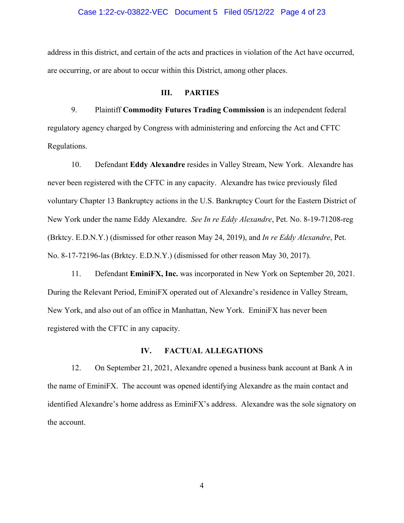#### Case 1:22-cv-03822-VEC Document 5 Filed 05/12/22 Page 4 of 23

address in this district, and certain of the acts and practices in violation of the Act have occurred, are occurring, or are about to occur within this District, among other places.

#### **III. PARTIES**

9. Plaintiff **Commodity Futures Trading Commission** is an independent federal regulatory agency charged by Congress with administering and enforcing the Act and CFTC Regulations.

10. Defendant **Eddy Alexandre** resides in Valley Stream, New York. Alexandre has never been registered with the CFTC in any capacity. Alexandre has twice previously filed voluntary Chapter 13 Bankruptcy actions in the U.S. Bankruptcy Court for the Eastern District of New York under the name Eddy Alexandre. *See In re Eddy Alexandre*, Pet. No. 8-19-71208-reg (Brktcy. E.D.N.Y.) (dismissed for other reason May 24, 2019), and *In re Eddy Alexandre*, Pet. No. 8-17-72196-las (Brktcy. E.D.N.Y.) (dismissed for other reason May 30, 2017).

11. Defendant **EminiFX, Inc.** was incorporated in New York on September 20, 2021. During the Relevant Period, EminiFX operated out of Alexandre's residence in Valley Stream, New York, and also out of an office in Manhattan, New York. EminiFX has never been registered with the CFTC in any capacity.

#### **IV. FACTUAL ALLEGATIONS**

12. On September 21, 2021, Alexandre opened a business bank account at Bank A in the name of EminiFX. The account was opened identifying Alexandre as the main contact and identified Alexandre's home address as EminiFX's address. Alexandre was the sole signatory on the account.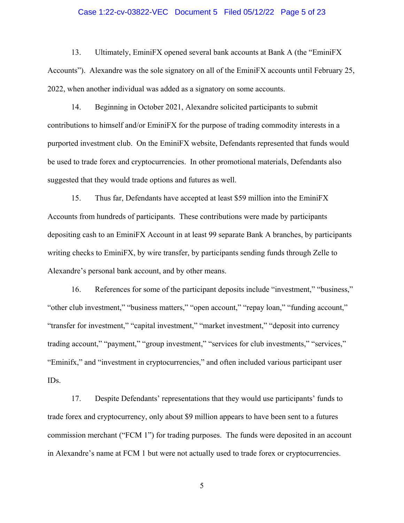#### Case 1:22-cv-03822-VEC Document 5 Filed 05/12/22 Page 5 of 23

13. Ultimately, EminiFX opened several bank accounts at Bank A (the "EminiFX Accounts"). Alexandre was the sole signatory on all of the EminiFX accounts until February 25, 2022, when another individual was added as a signatory on some accounts.

14. Beginning in October 2021, Alexandre solicited participants to submit contributions to himself and/or EminiFX for the purpose of trading commodity interests in a purported investment club. On the EminiFX website, Defendants represented that funds would be used to trade forex and cryptocurrencies. In other promotional materials, Defendants also suggested that they would trade options and futures as well.

15. Thus far, Defendants have accepted at least \$59 million into the EminiFX Accounts from hundreds of participants. These contributions were made by participants depositing cash to an EminiFX Account in at least 99 separate Bank A branches, by participants writing checks to EminiFX, by wire transfer, by participants sending funds through Zelle to Alexandre's personal bank account, and by other means.

16. References for some of the participant deposits include "investment," "business," "other club investment," "business matters," "open account," "repay loan," "funding account," "transfer for investment," "capital investment," "market investment," "deposit into currency trading account," "payment," "group investment," "services for club investments," "services," "Eminifx," and "investment in cryptocurrencies," and often included various participant user IDs.

17. Despite Defendants' representations that they would use participants' funds to trade forex and cryptocurrency, only about \$9 million appears to have been sent to a futures commission merchant ("FCM 1") for trading purposes. The funds were deposited in an account in Alexandre's name at FCM 1 but were not actually used to trade forex or cryptocurrencies.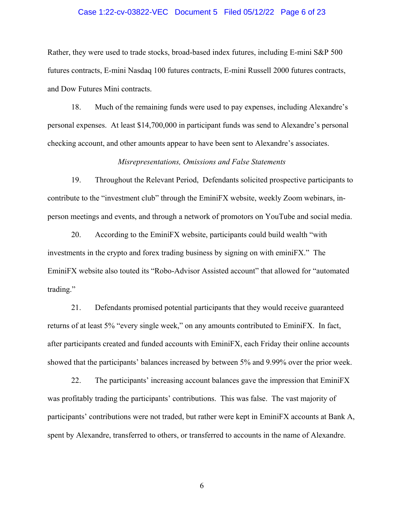#### Case 1:22-cv-03822-VEC Document 5 Filed 05/12/22 Page 6 of 23

Rather, they were used to trade stocks, broad-based index futures, including E-mini S&P 500 futures contracts, E-mini Nasdaq 100 futures contracts, E-mini Russell 2000 futures contracts, and Dow Futures Mini contracts.

18. Much of the remaining funds were used to pay expenses, including Alexandre's personal expenses. At least \$14,700,000 in participant funds was send to Alexandre's personal checking account, and other amounts appear to have been sent to Alexandre's associates.

### *Misrepresentations, Omissions and False Statements*

19. Throughout the Relevant Period, Defendants solicited prospective participants to contribute to the "investment club" through the EminiFX website, weekly Zoom webinars, inperson meetings and events, and through a network of promotors on YouTube and social media.

20. According to the EminiFX website, participants could build wealth "with investments in the crypto and forex trading business by signing on with eminiFX." The EminiFX website also touted its "Robo-Advisor Assisted account" that allowed for "automated trading."

21. Defendants promised potential participants that they would receive guaranteed returns of at least 5% "every single week," on any amounts contributed to EminiFX. In fact, after participants created and funded accounts with EminiFX, each Friday their online accounts showed that the participants' balances increased by between 5% and 9.99% over the prior week.

22. The participants' increasing account balances gave the impression that EminiFX was profitably trading the participants' contributions. This was false. The vast majority of participants' contributions were not traded, but rather were kept in EminiFX accounts at Bank A, spent by Alexandre, transferred to others, or transferred to accounts in the name of Alexandre.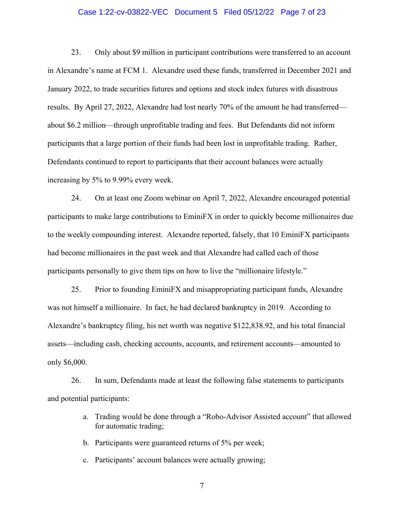#### Case 1:22-cv-03822-VEC Document 5 Filed 05/12/22 Page 7 of 23

23. Only about \$9 million in participant contributions were transferred to an account in Alexandre's name at FCM 1. Alexandre used these funds, transferred in December 2021 and January 2022, to trade securities futures and options and stock index futures with disastrous results. By April 27, 2022, Alexandre had lost nearly 70% of the amount he had transferred about \$6.2 million—through unprofitable trading and fees. But Defendants did not inform participants that a large portion of their funds had been lost in unprofitable trading. Rather, Defendants continued to report to participants that their account balances were actually increasing by 5% to 9.99% every week.

24. On at least one Zoom webinar on April 7, 2022, Alexandre encouraged potential participants to make large contributions to EminiFX in order to quickly become millionaires due to the weekly compounding interest. Alexandre reported, falsely, that 10 EminiFX participants had become millionaires in the past week and that Alexandre had called each of those participants personally to give them tips on how to live the "millionaire lifestyle."

25. Prior to founding EminiFX and misappropriating participant funds, Alexandre was not himself a millionaire. In fact, he had declared bankruptcy in 2019. According to Alexandre's bankruptcy filing, his net worth was negative \$122,838.92, and his total financial assets—including cash, checking accounts, accounts, and retirement accounts—amounted to only \$6,000.

26. In sum, Defendants made at least the following false statements to participants and potential participants:

- a. Trading would be done through a "Robo-Advisor Assisted account" that allowed for automatic trading;
- b. Participants were guaranteed returns of 5% per week;
- c. Participants' account balances were actually growing;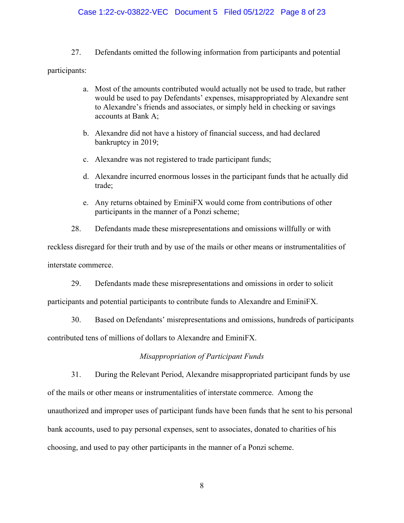## Case 1:22-cv-03822-VEC Document 5 Filed 05/12/22 Page 8 of 23

27. Defendants omitted the following information from participants and potential

participants:

- a. Most of the amounts contributed would actually not be used to trade, but rather would be used to pay Defendants' expenses, misappropriated by Alexandre sent to Alexandre's friends and associates, or simply held in checking or savings accounts at Bank A;
- b. Alexandre did not have a history of financial success, and had declared bankruptcy in 2019;
- c. Alexandre was not registered to trade participant funds;
- d. Alexandre incurred enormous losses in the participant funds that he actually did trade;
- e. Any returns obtained by EminiFX would come from contributions of other participants in the manner of a Ponzi scheme;

28. Defendants made these misrepresentations and omissions willfully or with

reckless disregard for their truth and by use of the mails or other means or instrumentalities of interstate commerce.

29. Defendants made these misrepresentations and omissions in order to solicit

participants and potential participants to contribute funds to Alexandre and EminiFX.

30. Based on Defendants' misrepresentations and omissions, hundreds of participants contributed tens of millions of dollars to Alexandre and EminiFX.

## *Misappropriation of Participant Funds*

31. During the Relevant Period, Alexandre misappropriated participant funds by use of the mails or other means or instrumentalities of interstate commerce. Among the unauthorized and improper uses of participant funds have been funds that he sent to his personal bank accounts, used to pay personal expenses, sent to associates, donated to charities of his choosing, and used to pay other participants in the manner of a Ponzi scheme.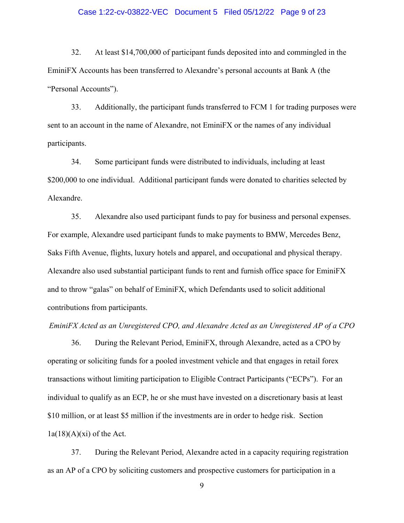#### Case 1:22-cv-03822-VEC Document 5 Filed 05/12/22 Page 9 of 23

32. At least \$14,700,000 of participant funds deposited into and commingled in the EminiFX Accounts has been transferred to Alexandre's personal accounts at Bank A (the "Personal Accounts").

33. Additionally, the participant funds transferred to FCM 1 for trading purposes were sent to an account in the name of Alexandre, not EminiFX or the names of any individual participants.

34. Some participant funds were distributed to individuals, including at least \$200,000 to one individual. Additional participant funds were donated to charities selected by Alexandre.

35. Alexandre also used participant funds to pay for business and personal expenses. For example, Alexandre used participant funds to make payments to BMW, Mercedes Benz, Saks Fifth Avenue, flights, luxury hotels and apparel, and occupational and physical therapy. Alexandre also used substantial participant funds to rent and furnish office space for EminiFX and to throw "galas" on behalf of EminiFX, which Defendants used to solicit additional contributions from participants.

*EminiFX Acted as an Unregistered CPO, and Alexandre Acted as an Unregistered AP of a CPO* 

36. During the Relevant Period, EminiFX, through Alexandre, acted as a CPO by operating or soliciting funds for a pooled investment vehicle and that engages in retail forex transactions without limiting participation to Eligible Contract Participants ("ECPs"). For an individual to qualify as an ECP, he or she must have invested on a discretionary basis at least \$10 million, or at least \$5 million if the investments are in order to hedge risk. Section  $1a(18)(A)(xi)$  of the Act.

37. During the Relevant Period, Alexandre acted in a capacity requiring registration as an AP of a CPO by soliciting customers and prospective customers for participation in a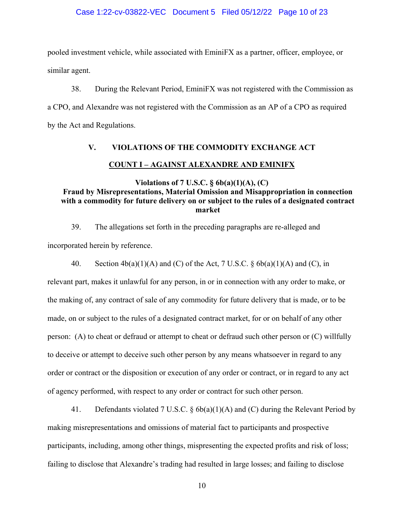#### Case 1:22-cv-03822-VEC Document 5 Filed 05/12/22 Page 10 of 23

pooled investment vehicle, while associated with EminiFX as a partner, officer, employee, or similar agent.

38. During the Relevant Period, EminiFX was not registered with the Commission as a CPO, and Alexandre was not registered with the Commission as an AP of a CPO as required by the Act and Regulations.

# **V. VIOLATIONS OF THE COMMODITY EXCHANGE ACT COUNT I – AGAINST ALEXANDRE AND EMINIFX**

## **Violations of 7 U.S.C. § 6b(a)(1)(A), (C) Fraud by Misrepresentations, Material Omission and Misappropriation in connection with a commodity for future delivery on or subject to the rules of a designated contract market**

39. The allegations set forth in the preceding paragraphs are re-alleged and incorporated herein by reference.

40. Section  $4b(a)(1)(A)$  and (C) of the Act, 7 U.S.C. §  $6b(a)(1)(A)$  and (C), in relevant part, makes it unlawful for any person, in or in connection with any order to make, or the making of, any contract of sale of any commodity for future delivery that is made, or to be made, on or subject to the rules of a designated contract market, for or on behalf of any other person: (A) to cheat or defraud or attempt to cheat or defraud such other person or (C) willfully to deceive or attempt to deceive such other person by any means whatsoever in regard to any order or contract or the disposition or execution of any order or contract, or in regard to any act of agency performed, with respect to any order or contract for such other person.

41. Defendants violated 7 U.S.C. § 6b(a)(1)(A) and (C) during the Relevant Period by making misrepresentations and omissions of material fact to participants and prospective participants, including, among other things, mispresenting the expected profits and risk of loss; failing to disclose that Alexandre's trading had resulted in large losses; and failing to disclose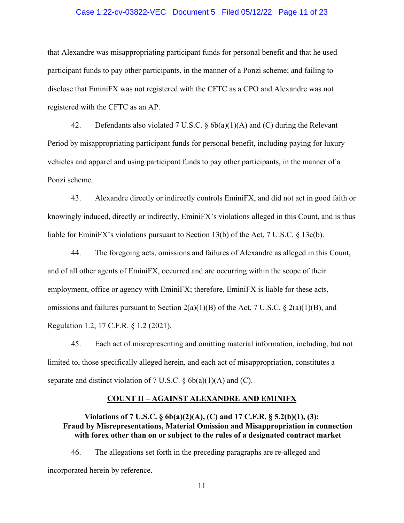#### Case 1:22-cv-03822-VEC Document 5 Filed 05/12/22 Page 11 of 23

that Alexandre was misappropriating participant funds for personal benefit and that he used participant funds to pay other participants, in the manner of a Ponzi scheme; and failing to disclose that EminiFX was not registered with the CFTC as a CPO and Alexandre was not registered with the CFTC as an AP.

42. Defendants also violated 7 U.S.C. § 6b(a)(1)(A) and (C) during the Relevant Period by misappropriating participant funds for personal benefit, including paying for luxury vehicles and apparel and using participant funds to pay other participants, in the manner of a Ponzi scheme.

43. Alexandre directly or indirectly controls EminiFX, and did not act in good faith or knowingly induced, directly or indirectly, EminiFX's violations alleged in this Count, and is thus liable for EminiFX's violations pursuant to Section 13(b) of the Act, 7 U.S.C. § 13c(b).

44. The foregoing acts, omissions and failures of Alexandre as alleged in this Count, and of all other agents of EminiFX, occurred and are occurring within the scope of their employment, office or agency with EminiFX; therefore, EminiFX is liable for these acts, omissions and failures pursuant to Section  $2(a)(1)(B)$  of the Act, 7 U.S.C. §  $2(a)(1)(B)$ , and Regulation 1.2, 17 C.F.R. § 1.2 (2021).

45. Each act of misrepresenting and omitting material information, including, but not limited to, those specifically alleged herein, and each act of misappropriation, constitutes a separate and distinct violation of 7 U.S.C.  $\S$  6b(a)(1)(A) and (C).

#### **COUNT II – AGAINST ALEXANDRE AND EMINIFX**

## **Violations of 7 U.S.C. § 6b(a)(2)(A), (C) and 17 C.F.R. § 5.2(b)(1), (3): Fraud by Misrepresentations, Material Omission and Misappropriation in connection with forex other than on or subject to the rules of a designated contract market**

46. The allegations set forth in the preceding paragraphs are re-alleged and incorporated herein by reference.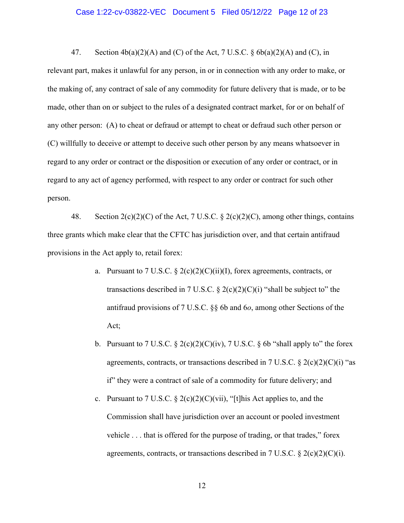#### Case 1:22-cv-03822-VEC Document 5 Filed 05/12/22 Page 12 of 23

47. Section  $4b(a)(2)(A)$  and (C) of the Act, 7 U.S.C. §  $6b(a)(2)(A)$  and (C), in relevant part, makes it unlawful for any person, in or in connection with any order to make, or the making of, any contract of sale of any commodity for future delivery that is made, or to be made, other than on or subject to the rules of a designated contract market, for or on behalf of any other person: (A) to cheat or defraud or attempt to cheat or defraud such other person or (C) willfully to deceive or attempt to deceive such other person by any means whatsoever in regard to any order or contract or the disposition or execution of any order or contract, or in regard to any act of agency performed, with respect to any order or contract for such other person.

48. Section  $2(c)(2)(C)$  of the Act, 7 U.S.C. §  $2(c)(2)(C)$ , among other things, contains three grants which make clear that the CFTC has jurisdiction over, and that certain antifraud provisions in the Act apply to, retail forex:

- a. Pursuant to 7 U.S.C.  $\S 2(c)(2)(C)(ii)(I)$ , forex agreements, contracts, or transactions described in 7 U.S.C.  $\S 2(c)(2)(C)(i)$  "shall be subject to" the antifraud provisions of 7 U.S.C. §§ 6b and 6*o*, among other Sections of the Act;
- b. Pursuant to 7 U.S.C.  $\S 2(c)(2)(C)(iv)$ , 7 U.S.C.  $\S 6b$  "shall apply to" the forex agreements, contracts, or transactions described in 7 U.S.C.  $\S 2(c)(2)(C)(i)$  "as if" they were a contract of sale of a commodity for future delivery; and
- c. Pursuant to 7 U.S.C.  $\S 2(c)(2)(C)(\nvi)$ , "[t]his Act applies to, and the Commission shall have jurisdiction over an account or pooled investment vehicle . . . that is offered for the purpose of trading, or that trades," forex agreements, contracts, or transactions described in 7 U.S.C.  $\S 2(c)(2)(C)(i)$ .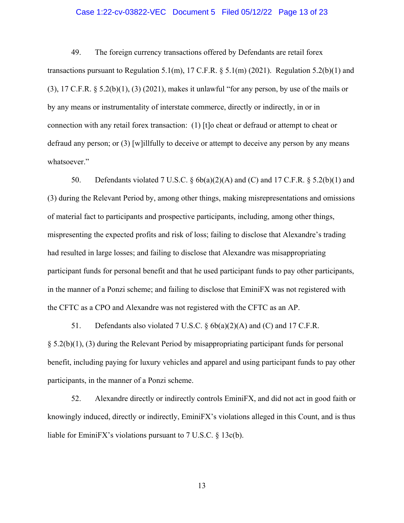#### Case 1:22-cv-03822-VEC Document 5 Filed 05/12/22 Page 13 of 23

49. The foreign currency transactions offered by Defendants are retail forex transactions pursuant to Regulation 5.1(m), 17 C.F.R.  $\S$  5.1(m) (2021). Regulation 5.2(b)(1) and  $(3)$ , 17 C.F.R.  $\S$  5.2(b)(1), (3) (2021), makes it unlawful "for any person, by use of the mails or by any means or instrumentality of interstate commerce, directly or indirectly, in or in connection with any retail forex transaction: (1) [t]o cheat or defraud or attempt to cheat or defraud any person; or (3) [w]illfully to deceive or attempt to deceive any person by any means whatsoever."

50. Defendants violated 7 U.S.C.  $\S$  6b(a)(2)(A) and (C) and 17 C.F.R.  $\S$  5.2(b)(1) and (3) during the Relevant Period by, among other things, making misrepresentations and omissions of material fact to participants and prospective participants, including, among other things, mispresenting the expected profits and risk of loss; failing to disclose that Alexandre's trading had resulted in large losses; and failing to disclose that Alexandre was misappropriating participant funds for personal benefit and that he used participant funds to pay other participants, in the manner of a Ponzi scheme; and failing to disclose that EminiFX was not registered with the CFTC as a CPO and Alexandre was not registered with the CFTC as an AP.

51. Defendants also violated 7 U.S.C.  $\delta$  6b(a)(2)(A) and (C) and 17 C.F.R. § 5.2(b)(1), (3) during the Relevant Period by misappropriating participant funds for personal benefit, including paying for luxury vehicles and apparel and using participant funds to pay other participants, in the manner of a Ponzi scheme.

52. Alexandre directly or indirectly controls EminiFX, and did not act in good faith or knowingly induced, directly or indirectly, EminiFX's violations alleged in this Count, and is thus liable for EminiFX's violations pursuant to 7 U.S.C. § 13c(b).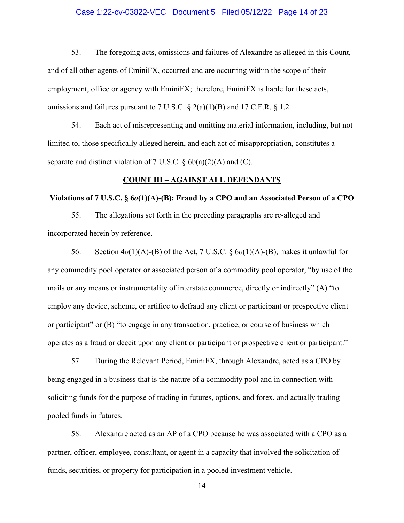#### Case 1:22-cv-03822-VEC Document 5 Filed 05/12/22 Page 14 of 23

53. The foregoing acts, omissions and failures of Alexandre as alleged in this Count, and of all other agents of EminiFX, occurred and are occurring within the scope of their employment, office or agency with EminiFX; therefore, EminiFX is liable for these acts, omissions and failures pursuant to 7 U.S.C.  $\S$  2(a)(1)(B) and 17 C.F.R.  $\S$  1.2.

54. Each act of misrepresenting and omitting material information, including, but not limited to, those specifically alleged herein, and each act of misappropriation, constitutes a separate and distinct violation of 7 U.S.C.  $\delta$  6b(a)(2)(A) and (C).

#### **COUNT III – AGAINST ALL DEFENDANTS**

#### **Violations of 7 U.S.C. § 6***o***(1)(A)-(B): Fraud by a CPO and an Associated Person of a CPO**

55. The allegations set forth in the preceding paragraphs are re-alleged and incorporated herein by reference.

56. Section 4*o*(1)(A)-(B) of the Act, 7 U.S.C. § 6*o*(1)(A)-(B), makes it unlawful for any commodity pool operator or associated person of a commodity pool operator, "by use of the mails or any means or instrumentality of interstate commerce, directly or indirectly" (A) "to employ any device, scheme, or artifice to defraud any client or participant or prospective client or participant" or (B) "to engage in any transaction, practice, or course of business which operates as a fraud or deceit upon any client or participant or prospective client or participant."

57. During the Relevant Period, EminiFX, through Alexandre, acted as a CPO by being engaged in a business that is the nature of a commodity pool and in connection with soliciting funds for the purpose of trading in futures, options, and forex, and actually trading pooled funds in futures.

58. Alexandre acted as an AP of a CPO because he was associated with a CPO as a partner, officer, employee, consultant, or agent in a capacity that involved the solicitation of funds, securities, or property for participation in a pooled investment vehicle.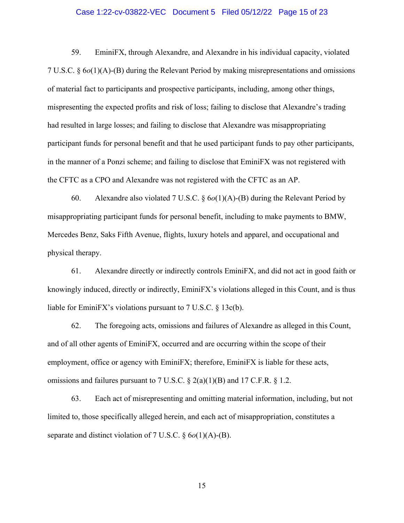#### Case 1:22-cv-03822-VEC Document 5 Filed 05/12/22 Page 15 of 23

59. EminiFX, through Alexandre, and Alexandre in his individual capacity, violated 7 U.S.C. § 6*o*(1)(A)-(B) during the Relevant Period by making misrepresentations and omissions of material fact to participants and prospective participants, including, among other things, mispresenting the expected profits and risk of loss; failing to disclose that Alexandre's trading had resulted in large losses; and failing to disclose that Alexandre was misappropriating participant funds for personal benefit and that he used participant funds to pay other participants, in the manner of a Ponzi scheme; and failing to disclose that EminiFX was not registered with the CFTC as a CPO and Alexandre was not registered with the CFTC as an AP.

60. Alexandre also violated 7 U.S.C. § 6*o*(1)(A)-(B) during the Relevant Period by misappropriating participant funds for personal benefit, including to make payments to BMW, Mercedes Benz, Saks Fifth Avenue, flights, luxury hotels and apparel, and occupational and physical therapy.

61. Alexandre directly or indirectly controls EminiFX, and did not act in good faith or knowingly induced, directly or indirectly, EminiFX's violations alleged in this Count, and is thus liable for EminiFX's violations pursuant to 7 U.S.C. § 13c(b).

62. The foregoing acts, omissions and failures of Alexandre as alleged in this Count, and of all other agents of EminiFX, occurred and are occurring within the scope of their employment, office or agency with EminiFX; therefore, EminiFX is liable for these acts, omissions and failures pursuant to 7 U.S.C.  $\S$  2(a)(1)(B) and 17 C.F.R.  $\S$  1.2.

63. Each act of misrepresenting and omitting material information, including, but not limited to, those specifically alleged herein, and each act of misappropriation, constitutes a separate and distinct violation of 7 U.S.C. § 6*o*(1)(A)-(B).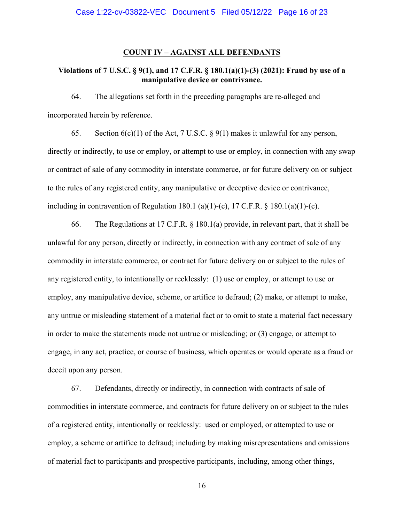#### **COUNT IV – AGAINST ALL DEFENDANTS**

## **Violations of 7 U.S.C. § 9(1), and 17 C.F.R. § 180.1(a)(1)-(3) (2021): Fraud by use of a manipulative device or contrivance.**

64. The allegations set forth in the preceding paragraphs are re-alleged and incorporated herein by reference.

65. Section  $6(c)(1)$  of the Act, 7 U.S.C. § 9(1) makes it unlawful for any person, directly or indirectly, to use or employ, or attempt to use or employ, in connection with any swap or contract of sale of any commodity in interstate commerce, or for future delivery on or subject to the rules of any registered entity, any manipulative or deceptive device or contrivance, including in contravention of Regulation 180.1 (a)(1)-(c), 17 C.F.R.  $\S$  180.1(a)(1)-(c).

66. The Regulations at 17 C.F.R. § 180.1(a) provide, in relevant part, that it shall be unlawful for any person, directly or indirectly, in connection with any contract of sale of any commodity in interstate commerce, or contract for future delivery on or subject to the rules of any registered entity, to intentionally or recklessly: (1) use or employ, or attempt to use or employ, any manipulative device, scheme, or artifice to defraud; (2) make, or attempt to make, any untrue or misleading statement of a material fact or to omit to state a material fact necessary in order to make the statements made not untrue or misleading; or (3) engage, or attempt to engage, in any act, practice, or course of business, which operates or would operate as a fraud or deceit upon any person.

67. Defendants, directly or indirectly, in connection with contracts of sale of commodities in interstate commerce, and contracts for future delivery on or subject to the rules of a registered entity, intentionally or recklessly: used or employed, or attempted to use or employ, a scheme or artifice to defraud; including by making misrepresentations and omissions of material fact to participants and prospective participants, including, among other things,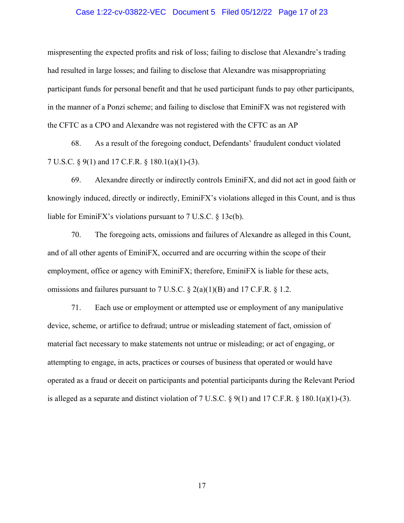#### Case 1:22-cv-03822-VEC Document 5 Filed 05/12/22 Page 17 of 23

mispresenting the expected profits and risk of loss; failing to disclose that Alexandre's trading had resulted in large losses; and failing to disclose that Alexandre was misappropriating participant funds for personal benefit and that he used participant funds to pay other participants, in the manner of a Ponzi scheme; and failing to disclose that EminiFX was not registered with the CFTC as a CPO and Alexandre was not registered with the CFTC as an AP

68. As a result of the foregoing conduct, Defendants' fraudulent conduct violated 7 U.S.C. § 9(1) and 17 C.F.R. § 180.1(a)(1)-(3).

69. Alexandre directly or indirectly controls EminiFX, and did not act in good faith or knowingly induced, directly or indirectly, EminiFX's violations alleged in this Count, and is thus liable for EminiFX's violations pursuant to 7 U.S.C. § 13c(b).

70. The foregoing acts, omissions and failures of Alexandre as alleged in this Count, and of all other agents of EminiFX, occurred and are occurring within the scope of their employment, office or agency with EminiFX; therefore, EminiFX is liable for these acts, omissions and failures pursuant to 7 U.S.C.  $\S$  2(a)(1)(B) and 17 C.F.R.  $\S$  1.2.

71. Each use or employment or attempted use or employment of any manipulative device, scheme, or artifice to defraud; untrue or misleading statement of fact, omission of material fact necessary to make statements not untrue or misleading; or act of engaging, or attempting to engage, in acts, practices or courses of business that operated or would have operated as a fraud or deceit on participants and potential participants during the Relevant Period is alleged as a separate and distinct violation of 7 U.S.C.  $\S 9(1)$  and 17 C.F.R.  $\S 180.1(a)(1)-(3)$ .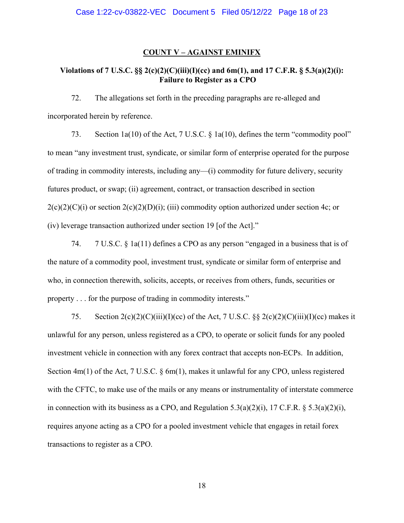#### **COUNT V – AGAINST EMINIFX**

## **Violations of 7 U.S.C. §§ 2(c)(2)(C)(iii)(I)(cc) and 6m(1), and 17 C.F.R. § 5.3(a)(2)(i): Failure to Register as a CPO**

72. The allegations set forth in the preceding paragraphs are re-alleged and incorporated herein by reference.

73. Section 1a(10) of the Act, 7 U.S.C. § 1a(10), defines the term "commodity pool" to mean "any investment trust, syndicate, or similar form of enterprise operated for the purpose of trading in commodity interests, including any—(i) commodity for future delivery, security futures product, or swap; (ii) agreement, contract, or transaction described in section  $2(c)(2)(c)(i)$  or section  $2(c)(2)(D)(i)$ ; (iii) commodity option authorized under section 4c; or (iv) leverage transaction authorized under section 19 [of the Act]."

74. 7 U.S.C. § 1a(11) defines a CPO as any person "engaged in a business that is of the nature of a commodity pool, investment trust, syndicate or similar form of enterprise and who, in connection therewith, solicits, accepts, or receives from others, funds, securities or property . . . for the purpose of trading in commodity interests."

75. Section  $2(c)(2)(C)(iii)(I)(cc)$  of the Act, 7 U.S.C. §§  $2(c)(2)(C)(iii)(I)(cc)$  makes it unlawful for any person, unless registered as a CPO, to operate or solicit funds for any pooled investment vehicle in connection with any forex contract that accepts non-ECPs. In addition, Section 4m(1) of the Act, 7 U.S.C. § 6m(1), makes it unlawful for any CPO, unless registered with the CFTC, to make use of the mails or any means or instrumentality of interstate commerce in connection with its business as a CPO, and Regulation 5.3(a)(2)(i), 17 C.F.R. § 5.3(a)(2)(i), requires anyone acting as a CPO for a pooled investment vehicle that engages in retail forex transactions to register as a CPO.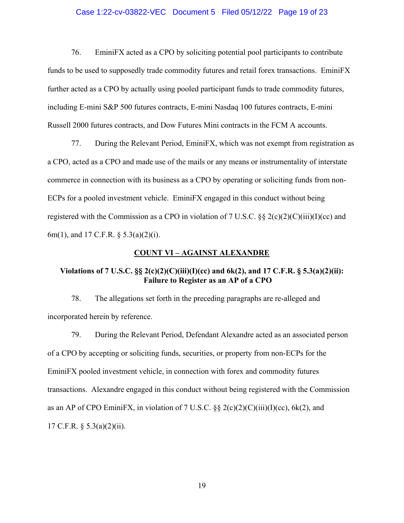#### Case 1:22-cv-03822-VEC Document 5 Filed 05/12/22 Page 19 of 23

76. EminiFX acted as a CPO by soliciting potential pool participants to contribute funds to be used to supposedly trade commodity futures and retail forex transactions. EminiFX further acted as a CPO by actually using pooled participant funds to trade commodity futures, including E-mini S&P 500 futures contracts, E-mini Nasdaq 100 futures contracts, E-mini Russell 2000 futures contracts, and Dow Futures Mini contracts in the FCM A accounts.

77. During the Relevant Period, EminiFX, which was not exempt from registration as a CPO, acted as a CPO and made use of the mails or any means or instrumentality of interstate commerce in connection with its business as a CPO by operating or soliciting funds from non-ECPs for a pooled investment vehicle. EminiFX engaged in this conduct without being registered with the Commission as a CPO in violation of 7 U.S.C.  $\S\S 2(c)(2)(C)(iii)(I)(cc)$  and 6m(1), and 17 C.F.R. § 5.3(a)(2)(i).

#### **COUNT VI – AGAINST ALEXANDRE**

## **Violations of 7 U.S.C. §§ 2(c)(2)(C)(iii)(I)(cc) and 6k(2), and 17 C.F.R. § 5.3(a)(2)(ii): Failure to Register as an AP of a CPO**

78. The allegations set forth in the preceding paragraphs are re-alleged and incorporated herein by reference.

79. During the Relevant Period, Defendant Alexandre acted as an associated person of a CPO by accepting or soliciting funds, securities, or property from non-ECPs for the EminiFX pooled investment vehicle, in connection with forex and commodity futures transactions. Alexandre engaged in this conduct without being registered with the Commission as an AP of CPO EminiFX, in violation of 7 U.S.C.  $\S$   $\frac{8}{3}$   $2(c)(2)(C)(iii)(T)(cc)$ , 6k(2), and 17 C.F.R. § 5.3(a)(2)(ii).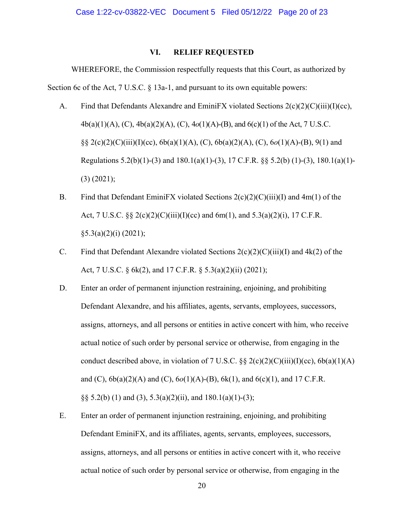## **VI. RELIEF REQUESTED**

WHEREFORE, the Commission respectfully requests that this Court, as authorized by Section 6c of the Act, 7 U.S.C. § 13a-1, and pursuant to its own equitable powers:

- A. Find that Defendants Alexandre and EminiFX violated Sections 2(c)(2)(C)(iii)(I)(cc), 4b(a)(1)(A), (C), 4b(a)(2)(A), (C), 4*o*(1)(A)-(B), and 6(c)(1) of the Act, 7 U.S.C. §§ 2(c)(2)(C)(iii)(I)(cc), 6b(a)(1)(A), (C), 6b(a)(2)(A), (C), 6*o*(1)(A)-(B), 9(1) and Regulations  $5.2(b)(1)-(3)$  and  $180.1(a)(1)-(3)$ ,  $17 \text{ C.F.R.}$  §§  $5.2(b)(1)-(3)$ ,  $180.1(a)(1)-$ (3) (2021);
- B. Find that Defendant EminiFX violated Sections  $2(c)(2)(C)(iii)(I)$  and  $4m(1)$  of the Act, 7 U.S.C.  $\S\S 2(c)(2)(C)(iii)(I)(cc)$  and 6m(1), and 5.3(a)(2)(i), 17 C.F.R.  $§5.3(a)(2)(i) (2021);$
- C. Find that Defendant Alexandre violated Sections  $2(c)(2)(C)(iii)(I)$  and  $4k(2)$  of the Act, 7 U.S.C. § 6k(2), and 17 C.F.R. § 5.3(a)(2)(ii) (2021);
- D. Enter an order of permanent injunction restraining, enjoining, and prohibiting Defendant Alexandre, and his affiliates, agents, servants, employees, successors, assigns, attorneys, and all persons or entities in active concert with him, who receive actual notice of such order by personal service or otherwise, from engaging in the conduct described above, in violation of 7 U.S.C.  $\S 2(c)(2)(C)(iii)(I)(cc)$ ,  $6b(a)(1)(A)$ and (C), 6b(a)(2)(A) and (C), 6*o*(1)(A)-(B), 6k(1), and 6(c)(1), and 17 C.F.R. §§  $5.2(b)$  (1) and (3),  $5.3(a)(2)(ii)$ , and  $180.1(a)(1)-(3)$ ;
- E. Enter an order of permanent injunction restraining, enjoining, and prohibiting Defendant EminiFX, and its affiliates, agents, servants, employees, successors, assigns, attorneys, and all persons or entities in active concert with it, who receive actual notice of such order by personal service or otherwise, from engaging in the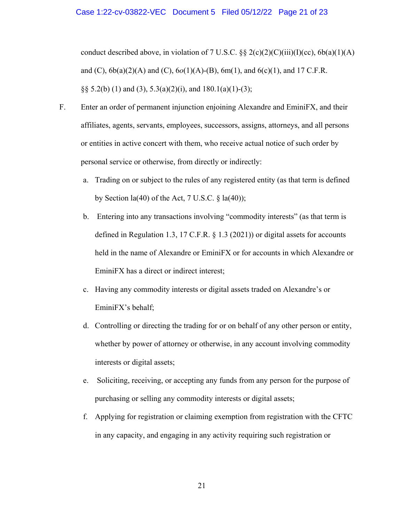conduct described above, in violation of 7 U.S.C.  $\S\S 2(c)(2)(C)(iii)(I)(cc)$ , 6b(a)(1)(A) and (C), 6b(a)(2)(A) and (C), 6*o*(1)(A)-(B), 6m(1), and 6(c)(1), and 17 C.F.R. §§ 5.2(b) (1) and (3), 5.3(a)(2)(i), and  $180.1(a)(1)-(3)$ ;

- F. Enter an order of permanent injunction enjoining Alexandre and EminiFX, and their affiliates, agents, servants, employees, successors, assigns, attorneys, and all persons or entities in active concert with them, who receive actual notice of such order by personal service or otherwise, from directly or indirectly:
	- a. Trading on or subject to the rules of any registered entity (as that term is defined by Section  $la(40)$  of the Act, 7 U.S.C.  $\S$   $la(40)$ ;
	- b. Entering into any transactions involving "commodity interests" (as that term is defined in Regulation 1.3, 17 C.F.R. § 1.3 (2021)) or digital assets for accounts held in the name of Alexandre or EminiFX or for accounts in which Alexandre or EminiFX has a direct or indirect interest;
	- c. Having any commodity interests or digital assets traded on Alexandre's or EminiFX's behalf;
	- d. Controlling or directing the trading for or on behalf of any other person or entity, whether by power of attorney or otherwise, in any account involving commodity interests or digital assets;
	- e. Soliciting, receiving, or accepting any funds from any person for the purpose of purchasing or selling any commodity interests or digital assets;
	- f. Applying for registration or claiming exemption from registration with the CFTC in any capacity, and engaging in any activity requiring such registration or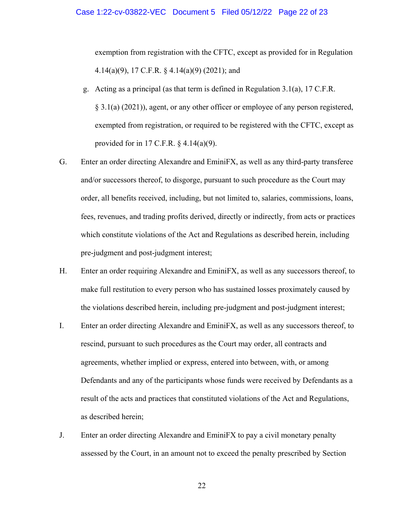exemption from registration with the CFTC, except as provided for in Regulation 4.14(a)(9), 17 C.F.R. § 4.14(a)(9) (2021); and

- g. Acting as a principal (as that term is defined in Regulation 3.1(a), 17 C.F.R. § 3.1(a) (2021)), agent, or any other officer or employee of any person registered, exempted from registration, or required to be registered with the CFTC, except as provided for in 17 C.F.R.  $\S$  4.14(a)(9).
- G. Enter an order directing Alexandre and EminiFX, as well as any third-party transferee and/or successors thereof, to disgorge, pursuant to such procedure as the Court may order, all benefits received, including, but not limited to, salaries, commissions, loans, fees, revenues, and trading profits derived, directly or indirectly, from acts or practices which constitute violations of the Act and Regulations as described herein, including pre-judgment and post-judgment interest;
- H. Enter an order requiring Alexandre and EminiFX, as well as any successors thereof, to make full restitution to every person who has sustained losses proximately caused by the violations described herein, including pre-judgment and post-judgment interest;
- I. Enter an order directing Alexandre and EminiFX, as well as any successors thereof, to rescind, pursuant to such procedures as the Court may order, all contracts and agreements, whether implied or express, entered into between, with, or among Defendants and any of the participants whose funds were received by Defendants as a result of the acts and practices that constituted violations of the Act and Regulations, as described herein;
- J. Enter an order directing Alexandre and EminiFX to pay a civil monetary penalty assessed by the Court, in an amount not to exceed the penalty prescribed by Section